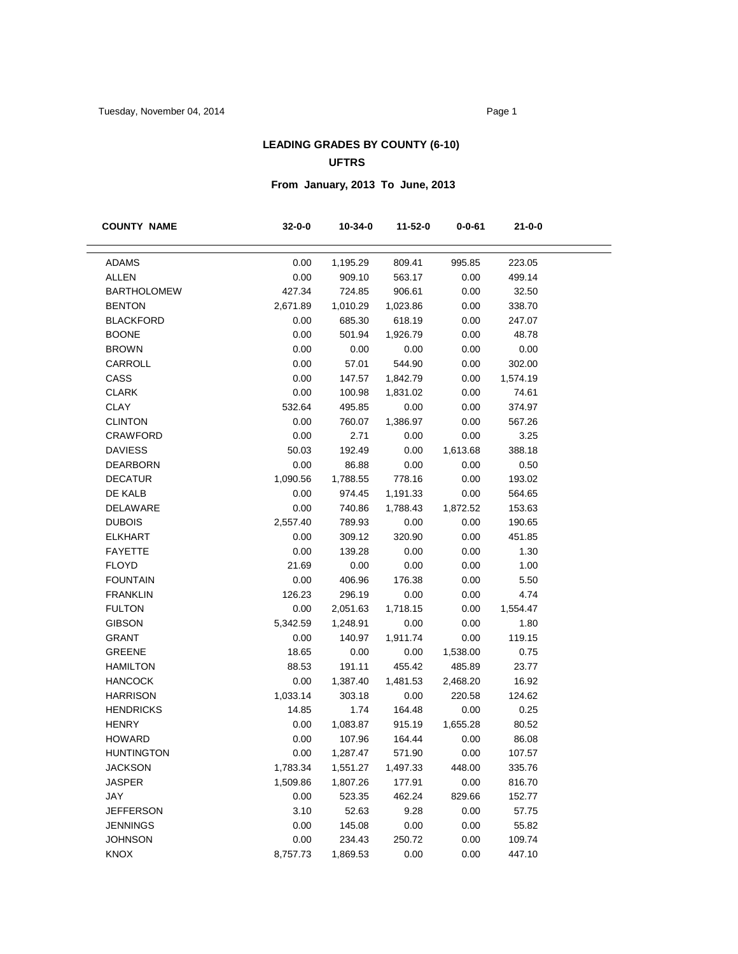### **LEADING GRADES BY COUNTY (6-10) UFTRS**

# **From January, 2013 To June, 2013**

| <b>COUNTY NAME</b> | $32 - 0 - 0$ | 10-34-0  | 11-52-0  | $0 - 0 - 61$ | $21 - 0 - 0$ |  |
|--------------------|--------------|----------|----------|--------------|--------------|--|
|                    |              |          |          |              |              |  |
| <b>ADAMS</b>       | 0.00         | 1,195.29 | 809.41   | 995.85       | 223.05       |  |
| <b>ALLEN</b>       | 0.00         | 909.10   | 563.17   | 0.00         | 499.14       |  |
| <b>BARTHOLOMEW</b> | 427.34       | 724.85   | 906.61   | 0.00         | 32.50        |  |
| <b>BENTON</b>      | 2,671.89     | 1,010.29 | 1,023.86 | 0.00         | 338.70       |  |
| <b>BLACKFORD</b>   | 0.00         | 685.30   | 618.19   | 0.00         | 247.07       |  |
| <b>BOONE</b>       | 0.00         | 501.94   | 1,926.79 | 0.00         | 48.78        |  |
| <b>BROWN</b>       | 0.00         | 0.00     | 0.00     | 0.00         | 0.00         |  |
| CARROLL            | 0.00         | 57.01    | 544.90   | 0.00         | 302.00       |  |
| CASS               | 0.00         | 147.57   | 1,842.79 | 0.00         | 1,574.19     |  |
| <b>CLARK</b>       | 0.00         | 100.98   | 1,831.02 | 0.00         | 74.61        |  |
| CLAY               | 532.64       | 495.85   | 0.00     | 0.00         | 374.97       |  |
| <b>CLINTON</b>     | 0.00         | 760.07   | 1,386.97 | 0.00         | 567.26       |  |
| <b>CRAWFORD</b>    | 0.00         | 2.71     | 0.00     | 0.00         | 3.25         |  |
| <b>DAVIESS</b>     | 50.03        | 192.49   | 0.00     | 1,613.68     | 388.18       |  |
| <b>DEARBORN</b>    | 0.00         | 86.88    | 0.00     | 0.00         | 0.50         |  |
| <b>DECATUR</b>     | 1,090.56     | 1,788.55 | 778.16   | 0.00         | 193.02       |  |
| DE KALB            | 0.00         | 974.45   | 1,191.33 | 0.00         | 564.65       |  |
| DELAWARE           | 0.00         | 740.86   | 1,788.43 | 1,872.52     | 153.63       |  |
| <b>DUBOIS</b>      | 2,557.40     | 789.93   | 0.00     | 0.00         | 190.65       |  |
| <b>ELKHART</b>     | 0.00         | 309.12   | 320.90   | 0.00         | 451.85       |  |
| <b>FAYETTE</b>     | 0.00         | 139.28   | 0.00     | 0.00         | 1.30         |  |
| <b>FLOYD</b>       | 21.69        | 0.00     | 0.00     | 0.00         | 1.00         |  |
| <b>FOUNTAIN</b>    | 0.00         | 406.96   | 176.38   | 0.00         | 5.50         |  |
| <b>FRANKLIN</b>    | 126.23       | 296.19   | 0.00     | 0.00         | 4.74         |  |
| <b>FULTON</b>      | 0.00         | 2,051.63 | 1,718.15 | 0.00         | 1,554.47     |  |
| <b>GIBSON</b>      | 5,342.59     | 1,248.91 | 0.00     | 0.00         | 1.80         |  |
| <b>GRANT</b>       | 0.00         | 140.97   | 1,911.74 | 0.00         | 119.15       |  |
| <b>GREENE</b>      | 18.65        | 0.00     | 0.00     | 1,538.00     | 0.75         |  |
| <b>HAMILTON</b>    | 88.53        | 191.11   | 455.42   | 485.89       | 23.77        |  |
| <b>HANCOCK</b>     | 0.00         | 1,387.40 | 1,481.53 | 2,468.20     | 16.92        |  |
| <b>HARRISON</b>    | 1,033.14     | 303.18   | 0.00     | 220.58       | 124.62       |  |
| <b>HENDRICKS</b>   | 14.85        | 1.74     | 164.48   | 0.00         | 0.25         |  |
| <b>HENRY</b>       | 0.00         | 1,083.87 | 915.19   | 1,655.28     | 80.52        |  |
| <b>HOWARD</b>      | 0.00         | 107.96   | 164.44   | 0.00         | 86.08        |  |
| <b>HUNTINGTON</b>  | 0.00         | 1,287.47 | 571.90   | 0.00         | 107.57       |  |
| <b>JACKSON</b>     | 1,783.34     | 1,551.27 | 1,497.33 | 448.00       | 335.76       |  |
| <b>JASPER</b>      | 1,509.86     | 1,807.26 | 177.91   | 0.00         | 816.70       |  |
| JAY                | 0.00         | 523.35   | 462.24   | 829.66       | 152.77       |  |
| <b>JEFFERSON</b>   | 3.10         | 52.63    | 9.28     | 0.00         | 57.75        |  |
| <b>JENNINGS</b>    | 0.00         | 145.08   | 0.00     | 0.00         | 55.82        |  |
| <b>JOHNSON</b>     | 0.00         | 234.43   | 250.72   | 0.00         | 109.74       |  |
| <b>KNOX</b>        | 8,757.73     | 1,869.53 | 0.00     | 0.00         | 447.10       |  |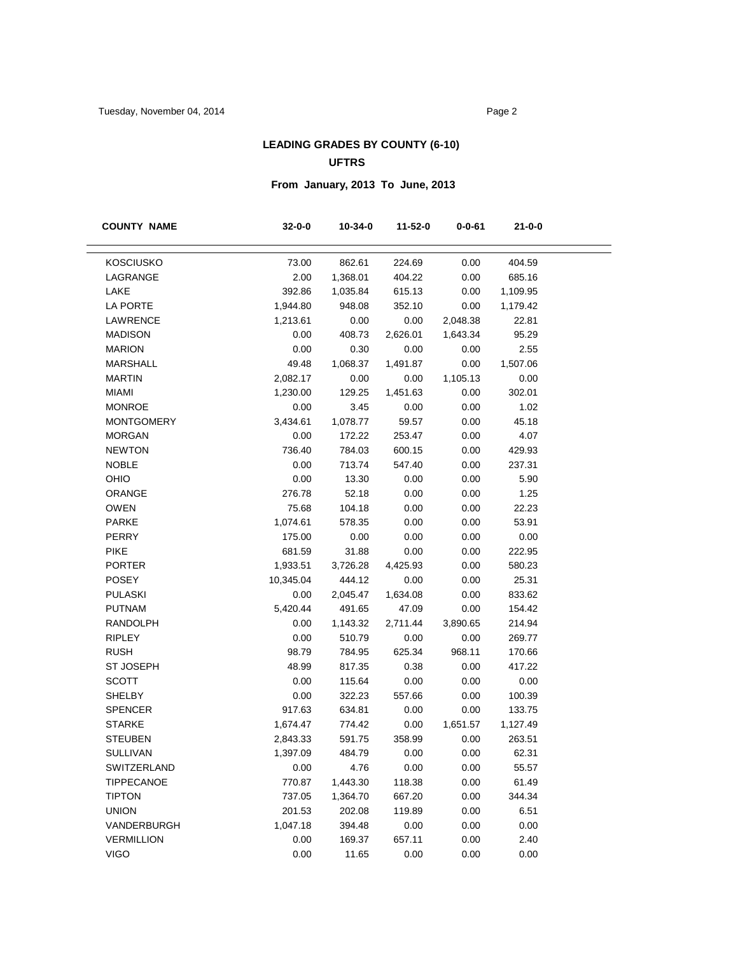### **LEADING GRADES BY COUNTY (6-10) UFTRS**

# **From January, 2013 To June, 2013**

| <b>COUNTY NAME</b> | $32 - 0 - 0$ | $10 - 34 - 0$ | 11-52-0  | $0 - 0 - 61$ | $21 - 0 - 0$ |
|--------------------|--------------|---------------|----------|--------------|--------------|
|                    |              |               |          |              |              |
| <b>KOSCIUSKO</b>   | 73.00        | 862.61        | 224.69   | 0.00         | 404.59       |
| LAGRANGE           | 2.00         | 1,368.01      | 404.22   | 0.00         | 685.16       |
| LAKE               | 392.86       | 1,035.84      | 615.13   | 0.00         | 1,109.95     |
| LA PORTE           | 1,944.80     | 948.08        | 352.10   | 0.00         | 1,179.42     |
| LAWRENCE           | 1,213.61     | 0.00          | 0.00     | 2,048.38     | 22.81        |
| <b>MADISON</b>     | 0.00         | 408.73        | 2,626.01 | 1,643.34     | 95.29        |
| <b>MARION</b>      | 0.00         | 0.30          | 0.00     | 0.00         | 2.55         |
| <b>MARSHALL</b>    | 49.48        | 1,068.37      | 1,491.87 | 0.00         | 1,507.06     |
| <b>MARTIN</b>      | 2,082.17     | 0.00          | 0.00     | 1,105.13     | 0.00         |
| <b>MIAMI</b>       | 1,230.00     | 129.25        | 1,451.63 | 0.00         | 302.01       |
| <b>MONROE</b>      | 0.00         | 3.45          | 0.00     | 0.00         | 1.02         |
| <b>MONTGOMERY</b>  | 3,434.61     | 1,078.77      | 59.57    | 0.00         | 45.18        |
| <b>MORGAN</b>      | 0.00         | 172.22        | 253.47   | 0.00         | 4.07         |
| <b>NEWTON</b>      | 736.40       | 784.03        | 600.15   | 0.00         | 429.93       |
| <b>NOBLE</b>       | 0.00         | 713.74        | 547.40   | 0.00         | 237.31       |
| OHIO               | 0.00         | 13.30         | 0.00     | 0.00         | 5.90         |
| ORANGE             | 276.78       | 52.18         | 0.00     | 0.00         | 1.25         |
| <b>OWEN</b>        | 75.68        | 104.18        | 0.00     | 0.00         | 22.23        |
| <b>PARKE</b>       | 1,074.61     | 578.35        | 0.00     | 0.00         | 53.91        |
| <b>PERRY</b>       | 175.00       | 0.00          | 0.00     | 0.00         | 0.00         |
| <b>PIKE</b>        | 681.59       | 31.88         | 0.00     | 0.00         | 222.95       |
| <b>PORTER</b>      | 1,933.51     | 3,726.28      | 4,425.93 | 0.00         | 580.23       |
| <b>POSEY</b>       | 10,345.04    | 444.12        | 0.00     | 0.00         | 25.31        |
| <b>PULASKI</b>     | 0.00         | 2,045.47      | 1,634.08 | 0.00         | 833.62       |
| <b>PUTNAM</b>      | 5,420.44     | 491.65        | 47.09    | 0.00         | 154.42       |
| <b>RANDOLPH</b>    | 0.00         | 1,143.32      | 2,711.44 | 3,890.65     | 214.94       |
| <b>RIPLEY</b>      | 0.00         | 510.79        | 0.00     | 0.00         | 269.77       |
| <b>RUSH</b>        | 98.79        | 784.95        | 625.34   | 968.11       | 170.66       |
| <b>ST JOSEPH</b>   | 48.99        | 817.35        | 0.38     | 0.00         | 417.22       |
| <b>SCOTT</b>       | 0.00         | 115.64        | 0.00     | 0.00         | 0.00         |
| <b>SHELBY</b>      | 0.00         | 322.23        | 557.66   | 0.00         | 100.39       |
| <b>SPENCER</b>     | 917.63       | 634.81        | 0.00     | 0.00         | 133.75       |
| <b>STARKE</b>      | 1,674.47     | 774.42        | 0.00     | 1,651.57     | 1,127.49     |
| <b>STEUBEN</b>     | 2,843.33     | 591.75        | 358.99   | 0.00         | 263.51       |
| <b>SULLIVAN</b>    | 1,397.09     | 484.79        | 0.00     | 0.00         | 62.31        |
| SWITZERLAND        | 0.00         | 4.76          | 0.00     | 0.00         | 55.57        |
| <b>TIPPECANOE</b>  | 770.87       | 1,443.30      | 118.38   | 0.00         | 61.49        |
| <b>TIPTON</b>      | 737.05       | 1,364.70      | 667.20   | 0.00         | 344.34       |
| <b>UNION</b>       | 201.53       | 202.08        | 119.89   | 0.00         | 6.51         |
| VANDERBURGH        | 1,047.18     | 394.48        | 0.00     | 0.00         | 0.00         |
| <b>VERMILLION</b>  | 0.00         | 169.37        | 657.11   | 0.00         | 2.40         |
| <b>VIGO</b>        | 0.00         | 11.65         | 0.00     | 0.00         | 0.00         |